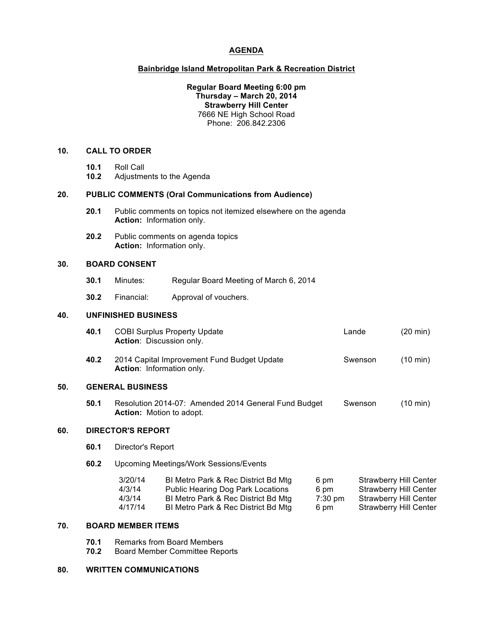## **AGENDA**

### **Bainbridge Island Metropolitan Park & Recreation District**

### **Regular Board Meeting 6:00 pm Thursday – March 20, 2014 Strawberry Hill Center** 7666 NE High School Road Phone: 206.842.2306

#### **10. CALL TO ORDER**

- **10.1** Roll Call
- **10.2** Adjustments to the Agenda

#### **20. PUBLIC COMMENTS (Oral Communications from Audience)**

- **20.1** Public comments on topics not itemized elsewhere on the agenda **Action:** Information only.
- **20.2** Public comments on agenda topics **Action:** Information only.

## **30. BOARD CONSENT**

- **30.1** Minutes: Regular Board Meeting of March 6, 2014
- **30.2** Financial: Approval of vouchers.

# **40. UNFINISHED BUSINESS**

|     | 40.1                    | <b>COBI Surplus Property Update</b><br>Action: Discussion only.                         | Lande   | $(20 \text{ min})$ |  |
|-----|-------------------------|-----------------------------------------------------------------------------------------|---------|--------------------|--|
|     | 40.2                    | 2014 Capital Improvement Fund Budget Update<br>Action: Information only.                | Swenson | (10 min)           |  |
| 50. | <b>GENERAL BUSINESS</b> |                                                                                         |         |                    |  |
|     | 50.1                    | Resolution 2014-07: Amended 2014 General Fund Budget<br><b>Action:</b> Motion to adopt. | Swenson | (10 min)           |  |

# **60. DIRECTOR'S REPORT**

- **60.1** Director's Report
- **60.2** Upcoming Meetings/Work Sessions/Events

| 3/20/14 | BI Metro Park & Rec District Bd Mtg | 6 pm    | Strawberry Hill Center |
|---------|-------------------------------------|---------|------------------------|
| 4/3/14  | Public Hearing Dog Park Locations   | 6 pm    | Strawberry Hill Center |
| 4/3/14  | BI Metro Park & Rec District Bd Mtg | 7:30 pm | Strawberry Hill Center |
| 4/17/14 | BI Metro Park & Rec District Bd Mtg | 6 pm    | Strawberry Hill Center |

## **70. BOARD MEMBER ITEMS**

- **70.1** Remarks from Board Members<br>**70.2** Board Member Committee Rep
- **70.2** Board Member Committee Reports

# **80. WRITTEN COMMUNICATIONS**